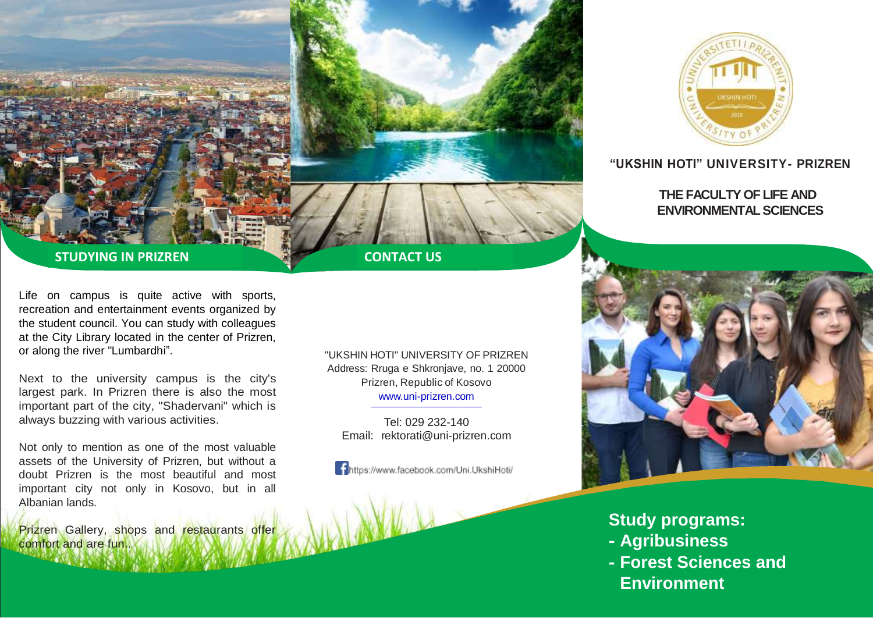



## **"UKSHIN HOTI" UNIVERSITY- PRIZREN**

## **THE FACULTY OF LIFE AND ENVIRONMENTAL SCIENCES**

## **STUDYING IN PRIZREN**

Life on campus is quite active with sports, recreation and entertainment events organized by the student council. You can study with colleagues at the City Library located in the center of Prizren, or along the river "Lumbardhi".

Next to the university campus is the city's largest park. In Prizren there is also the most important part of the city, "Shadervani" which is always buzzing with various activities.

Not only to mention as one of the most valuable assets of the University of Prizren, but without a doubt Prizren is the most beautiful and most important city not only in Kosovo, but in all Albanian lands.

Prizren Gallery, shops and restaurants offer comfort and are fun..

"UKSHIN HOTI" UNIVERSITY OF PRIZREN Address: Rruga e Shkronjave, no. 1 20000 Prizren, Republic of Kosovo [www.uni-prizren.com](http://www.uni-prizren.com/)

Tel: 029 232-140 Email: [rektorati@uni-prizren.com](mailto:rektorati@uni-prizren.com)

https://www.facebook.com/Uni.UkshiHoti/



**Study programs: - Agribusiness**

**- Forest Sciences and Environment**